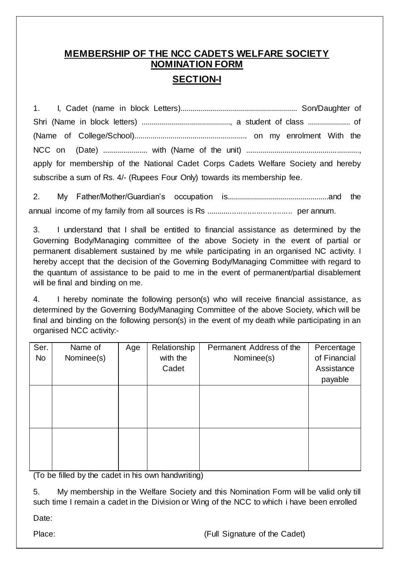# **MEMBERSHIP OF THE NCC CADETS WELFARE SOCIETY NOMINATION FORM SECTION-I**

1. I, Cadet (name in block Letters).......................................................... Son/Daughter of Shri (Name in block letters) ............................................, a student of class ..................... of (Name of College/School)........................................................ on my enrolment With the NCC on (Date) ...................... with (Name of the unit) ........................................................, apply for membership of the National Cadet Corps Cadets Welfare Society and hereby subscribe a sum of Rs. 4/- (Rupees Four Only) towards its membership fee.

2. My Father/Mother/Guardian's occupation is..................................................and the annual income of my family from all sources is Rs ....................................... per annum.

3. I understand that I shall be entitled to financial assistance as determined by the Governing Body/Managing committee of the above Society in the event of partial or permanent disablement sustained by me while participating in an organised NC activity. I hereby accept that the decision of the Governing Body/Managing Committee with regard to the quantum of assistance to be paid to me in the event of permanent/partial disablement will be final and binding on me.

4. I hereby nominate the following person(s) who will receive financial assistance, as determined by the Governing Body/Managing Committee of the above Society, which will be final and binding on the following person(s) in the event of my death while participating in an organised NCC activity:-

| Ser.<br><b>No</b> | Name of<br>Nominee(s) | Age | Relationship<br>with the<br>Cadet | Permanent Address of the<br>Nominee(s) | Percentage<br>of Financial<br>Assistance<br>payable |
|-------------------|-----------------------|-----|-----------------------------------|----------------------------------------|-----------------------------------------------------|
|                   |                       |     |                                   |                                        |                                                     |
|                   |                       |     |                                   |                                        |                                                     |

(To be filled by the cadet in his own handwriting)

5. My membership in the Welfare Society and this Nomination Form will be valid only till such time I remain a cadet in the Division or Wing of the NCC to which i have been enrolled

Date:

Place: (Full Signature of the Cadet)